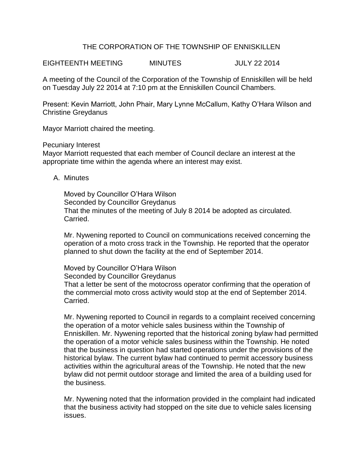## THE CORPORATION OF THE TOWNSHIP OF ENNISKILLEN

EIGHTEENTH MEETING MINUTES JULY 22 2014

A meeting of the Council of the Corporation of the Township of Enniskillen will be held on Tuesday July 22 2014 at 7:10 pm at the Enniskillen Council Chambers.

Present: Kevin Marriott, John Phair, Mary Lynne McCallum, Kathy O'Hara Wilson and Christine Greydanus

Mayor Marriott chaired the meeting.

Pecuniary Interest

Mayor Marriott requested that each member of Council declare an interest at the appropriate time within the agenda where an interest may exist.

A. Minutes

Moved by Councillor O'Hara Wilson Seconded by Councillor Greydanus That the minutes of the meeting of July 8 2014 be adopted as circulated. Carried.

Mr. Nywening reported to Council on communications received concerning the operation of a moto cross track in the Township. He reported that the operator planned to shut down the facility at the end of September 2014.

Moved by Councillor O'Hara Wilson Seconded by Councillor Greydanus That a letter be sent of the motocross operator confirming that the operation of the commercial moto cross activity would stop at the end of September 2014. Carried.

Mr. Nywening reported to Council in regards to a complaint received concerning the operation of a motor vehicle sales business within the Township of Enniskillen. Mr. Nywening reported that the historical zoning bylaw had permitted the operation of a motor vehicle sales business within the Township. He noted that the business in question had started operations under the provisions of the historical bylaw. The current bylaw had continued to permit accessory business activities within the agricultural areas of the Township. He noted that the new bylaw did not permit outdoor storage and limited the area of a building used for the business.

Mr. Nywening noted that the information provided in the complaint had indicated that the business activity had stopped on the site due to vehicle sales licensing issues.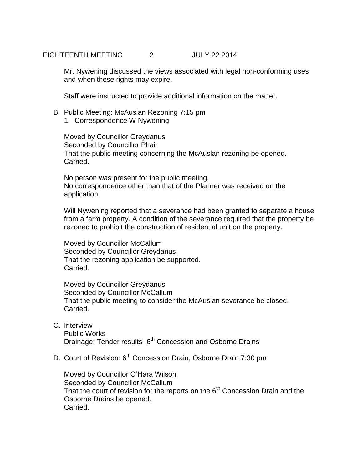EIGHTEENTH MEETING 2 JULY 22 2014

Mr. Nywening discussed the views associated with legal non-conforming uses and when these rights may expire.

Staff were instructed to provide additional information on the matter.

- B. Public Meeting: McAuslan Rezoning 7:15 pm
	- 1. Correspondence W Nywening

Moved by Councillor Greydanus Seconded by Councillor Phair That the public meeting concerning the McAuslan rezoning be opened. Carried.

No person was present for the public meeting. No correspondence other than that of the Planner was received on the application.

Will Nywening reported that a severance had been granted to separate a house from a farm property. A condition of the severance required that the property be rezoned to prohibit the construction of residential unit on the property.

Moved by Councillor McCallum Seconded by Councillor Greydanus That the rezoning application be supported. Carried.

Moved by Councillor Greydanus Seconded by Councillor McCallum That the public meeting to consider the McAuslan severance be closed. Carried.

- C. Interview Public Works Drainage: Tender results- 6<sup>th</sup> Concession and Osborne Drains
- D. Court of Revision: 6<sup>th</sup> Concession Drain, Osborne Drain 7:30 pm

Moved by Councillor O'Hara Wilson Seconded by Councillor McCallum That the court of revision for the reports on the  $6<sup>th</sup>$  Concession Drain and the Osborne Drains be opened. Carried.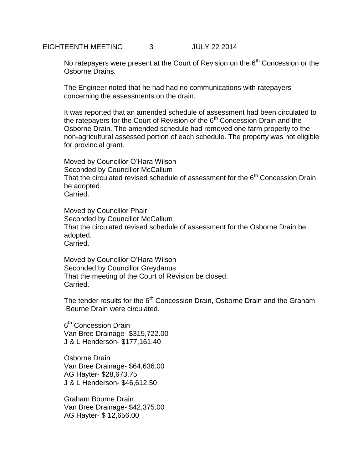No ratepayers were present at the Court of Revision on the  $6<sup>th</sup>$  Concession or the Osborne Drains.

The Engineer noted that he had had no communications with ratepayers concerning the assessments on the drain.

It was reported that an amended schedule of assessment had been circulated to the ratepayers for the Court of Revision of the  $6<sup>th</sup>$  Concession Drain and the Osborne Drain. The amended schedule had removed one farm property to the non-agricultural assessed portion of each schedule. The property was not eligible for provincial grant.

Moved by Councillor O'Hara Wilson Seconded by Councillor McCallum That the circulated revised schedule of assessment for the  $6<sup>th</sup>$  Concession Drain be adopted. Carried.

Moved by Councillor Phair Seconded by Councillor McCallum That the circulated revised schedule of assessment for the Osborne Drain be adopted. Carried.

Moved by Councillor O'Hara Wilson Seconded by Councillor Greydanus That the meeting of the Court of Revision be closed. Carried.

The tender results for the 6<sup>th</sup> Concession Drain, Osborne Drain and the Graham Bourne Drain were circulated.

6<sup>th</sup> Concession Drain Van Bree Drainage- \$315,722.00 J & L Henderson- \$177,161.40

Osborne Drain Van Bree Drainage- \$64,636.00 AG Hayter- \$28,673.75 J & L Henderson- \$46,612.50

Graham Bourne Drain Van Bree Drainage- \$42,375.00 AG Hayter- \$ 12,656.00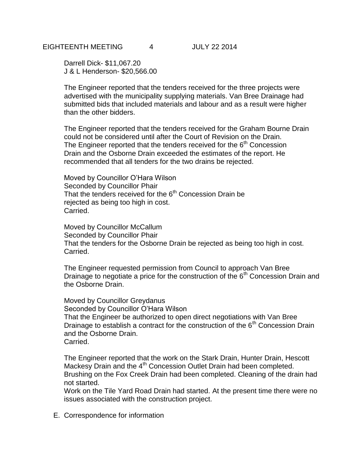Darrell Dick- \$11,067.20 J & L Henderson- \$20,566.00

The Engineer reported that the tenders received for the three projects were advertised with the municipality supplying materials. Van Bree Drainage had submitted bids that included materials and labour and as a result were higher than the other bidders.

The Engineer reported that the tenders received for the Graham Bourne Drain could not be considered until after the Court of Revision on the Drain. The Engineer reported that the tenders received for the  $6<sup>th</sup>$  Concession Drain and the Osborne Drain exceeded the estimates of the report. He recommended that all tenders for the two drains be rejected.

Moved by Councillor O'Hara Wilson Seconded by Councillor Phair That the tenders received for the  $6<sup>th</sup>$  Concession Drain be rejected as being too high in cost. Carried.

Moved by Councillor McCallum Seconded by Councillor Phair That the tenders for the Osborne Drain be rejected as being too high in cost. Carried.

The Engineer requested permission from Council to approach Van Bree Drainage to negotiate a price for the construction of the  $6<sup>th</sup>$  Concession Drain and the Osborne Drain.

Moved by Councillor Greydanus Seconded by Councillor O'Hara Wilson That the Engineer be authorized to open direct negotiations with Van Bree Drainage to establish a contract for the construction of the  $6<sup>th</sup>$  Concession Drain and the Osborne Drain. Carried.

The Engineer reported that the work on the Stark Drain, Hunter Drain, Hescott Mackesy Drain and the 4<sup>th</sup> Concession Outlet Drain had been completed. Brushing on the Fox Creek Drain had been completed. Cleaning of the drain had not started.

Work on the Tile Yard Road Drain had started. At the present time there were no issues associated with the construction project.

E. Correspondence for information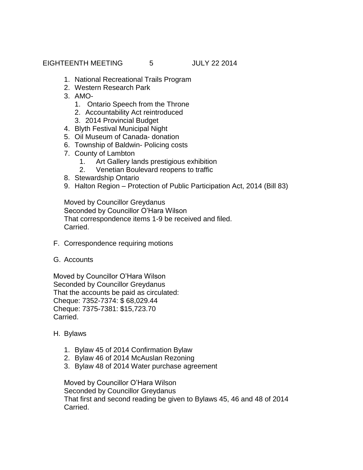EIGHTEENTH MEETING 5 JULY 22 2014

- 1. National Recreational Trails Program
- 2. Western Research Park
- 3. AMO-
	- 1. Ontario Speech from the Throne
	- 2. Accountability Act reintroduced
	- 3. 2014 Provincial Budget
- 4. Blyth Festival Municipal Night
- 5. Oil Museum of Canada- donation
- 6. Township of Baldwin- Policing costs
- 7. County of Lambton
	- 1. Art Gallery lands prestigious exhibition
	- 2. Venetian Boulevard reopens to traffic
- 8. Stewardship Ontario
- 9. Halton Region Protection of Public Participation Act, 2014 (Bill 83)

Moved by Councillor Greydanus Seconded by Councillor O'Hara Wilson That correspondence items 1-9 be received and filed. Carried.

- F. Correspondence requiring motions
- G. Accounts

Moved by Councillor O'Hara Wilson Seconded by Councillor Greydanus That the accounts be paid as circulated: Cheque: 7352-7374: \$ 68,029.44 Cheque: 7375-7381: \$15,723.70 Carried.

- H. Bylaws
	- 1. Bylaw 45 of 2014 Confirmation Bylaw
	- 2. Bylaw 46 of 2014 McAuslan Rezoning
	- 3. Bylaw 48 of 2014 Water purchase agreement

Moved by Councillor O'Hara Wilson Seconded by Councillor Greydanus That first and second reading be given to Bylaws 45, 46 and 48 of 2014 Carried.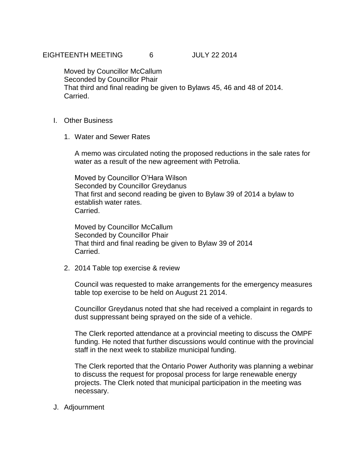Moved by Councillor McCallum Seconded by Councillor Phair That third and final reading be given to Bylaws 45, 46 and 48 of 2014. Carried.

- I. Other Business
	- 1. Water and Sewer Rates

A memo was circulated noting the proposed reductions in the sale rates for water as a result of the new agreement with Petrolia.

Moved by Councillor O'Hara Wilson Seconded by Councillor Greydanus That first and second reading be given to Bylaw 39 of 2014 a bylaw to establish water rates. Carried.

Moved by Councillor McCallum Seconded by Councillor Phair That third and final reading be given to Bylaw 39 of 2014 Carried.

2. 2014 Table top exercise & review

Council was requested to make arrangements for the emergency measures table top exercise to be held on August 21 2014.

Councillor Greydanus noted that she had received a complaint in regards to dust suppressant being sprayed on the side of a vehicle.

The Clerk reported attendance at a provincial meeting to discuss the OMPF funding. He noted that further discussions would continue with the provincial staff in the next week to stabilize municipal funding.

The Clerk reported that the Ontario Power Authority was planning a webinar to discuss the request for proposal process for large renewable energy projects. The Clerk noted that municipal participation in the meeting was necessary.

J. Adjournment